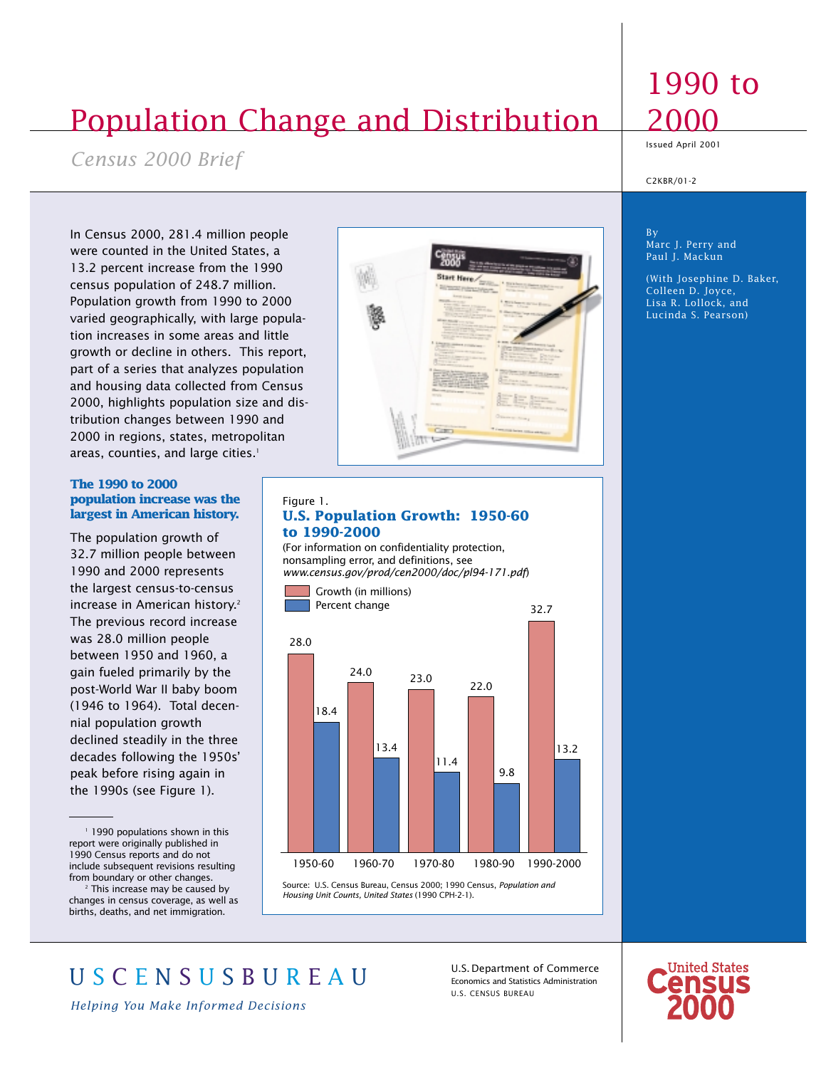# Population Change and Distribution

*Census 2000 Brief*

In Census 2000, 281.4 million people were counted in the United States, a 13.2 percent increase from the 1990 census population of 248.7 million. Population growth from 1990 to 2000 varied geographically, with large population increases in some areas and little growth or decline in others. This report, part of a series that analyzes population and housing data collected from Census 2000, highlights population size and distribution changes between 1990 and 2000 in regions, states, metropolitan areas, counties, and large cities.<sup>1</sup>

## **The 1990 to 2000 population increase was the largest in American history.**

The population growth of 32.7 million people between 1990 and 2000 represents the largest census-to-census increase in American history.<sup>2</sup> The previous record increase was 28.0 million people between 1950 and 1960, a gain fueled primarily by the post-World War II baby boom (1946 to 1964). Total decennial population growth declined steadily in the three decades following the 1950s' peak before rising again in the 1990s (see Figure 1).

<sup>1</sup> 1990 populations shown in this report were originally published in 1990 Census reports and do not include subsequent revisions resulting from boundary or other changes.

<sup>2</sup> This increase may be caused by changes in census coverage, as well as births, deaths, and net immigration.



#### Figure 1. **U.S. Population Growth: 1950-60 to 1990-2000**

(For information on confidentiality protection, nonsampling error, and definitions, see *www.census.gov/prod/cen2000/doc/pl94-171.pdf*)



Source: U.S. Census Bureau, Census 2000; 1990 Census, *Population and Housing Unit Counts, United States* (1990 CPH-2-1).

## 1990 to 2000

Issued April 2001

C2KBR/01-2

By Marc J. Perry and Paul J. Mackun

(With Josephine D. Baker, Colleen D. Joyce, Lisa R. Lollock, and Lucinda S. Pearson)

U S C E N S U S B U R E A U

*Helping You Make Informed Decisions*

U.S.Department of Commerce Economics and Statistics Administration U.S. CENSUS BUREAU

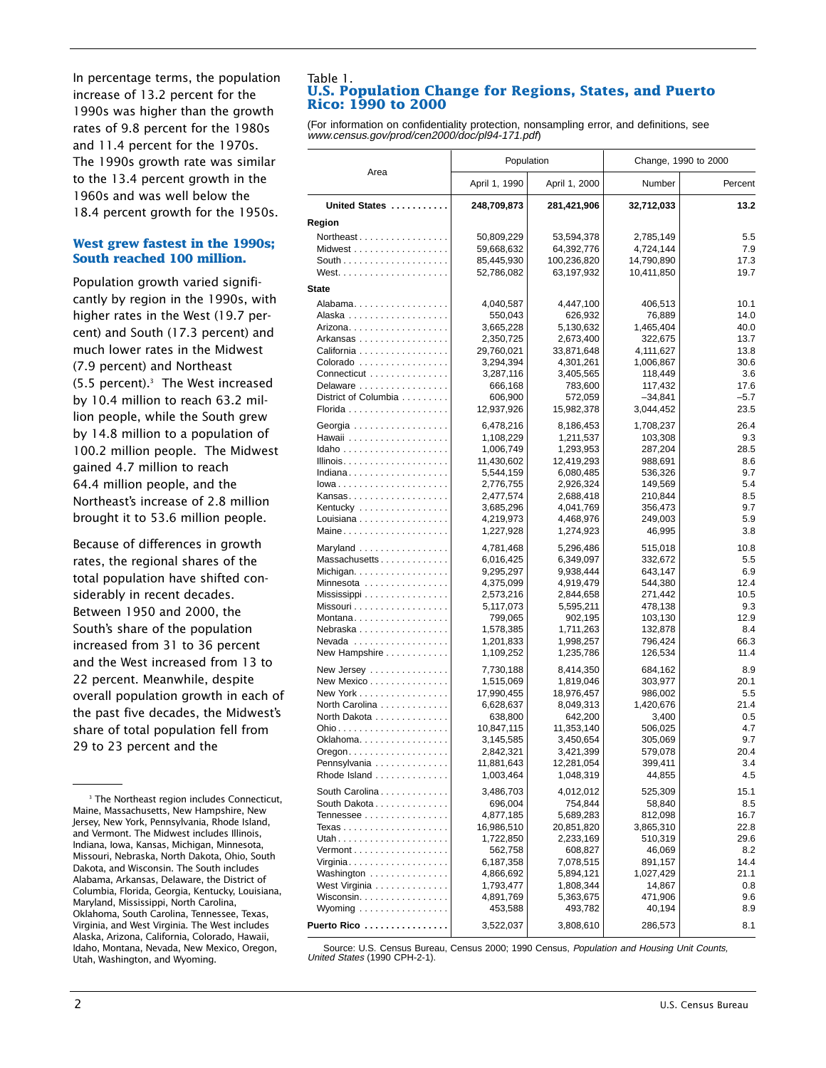In percentage terms, the population increase of 13.2 percent for the 1990s was higher than the growth rates of 9.8 percent for the 1980s and 11.4 percent for the 1970s. The 1990s growth rate was similar to the 13.4 percent growth in the 1960s and was well below the 18.4 percent growth for the 1950s.

## **West grew fastest in the 1990s; South reached 100 million.**

Population growth varied significantly by region in the 1990s, with higher rates in the West (19.7 percent) and South (17.3 percent) and much lower rates in the Midwest (7.9 percent) and Northeast (5.5 percent).3 The West increased by 10.4 million to reach 63.2 million people, while the South grew by 14.8 million to a population of 100.2 million people. The Midwest gained 4.7 million to reach 64.4 million people, and the Northeast's increase of 2.8 million brought it to 53.6 million people.

Because of differences in growth rates, the regional shares of the total population have shifted considerably in recent decades. Between 1950 and 2000, the South's share of the population increased from 31 to 36 percent and the West increased from 13 to 22 percent. Meanwhile, despite overall population growth in each of the past five decades, the Midwest's share of total population fell from 29 to 23 percent and the

#### Table 1. **U.S. Population Change for Regions, States, and Puerto Rico: 1990 to 2000**

(For information on confidentiality protection, nonsampling error, and definitions, see www.census.gov/prod/cen2000/doc/pl94-171.pdf)

|                                                                | Population              |                         | Change, 1990 to 2000   |                |  |
|----------------------------------------------------------------|-------------------------|-------------------------|------------------------|----------------|--|
| Area                                                           | April 1, 1990           | April 1, 2000           | Number                 | Percent        |  |
| United States                                                  | 248,709,873             | 281,421,906             | 32,712,033             | 13.2           |  |
| Region                                                         |                         |                         |                        |                |  |
| Northeast                                                      | 50,809,229              | 53,594,378              | 2,785,149              | 5.5            |  |
| Midwest                                                        | 59,668,632              | 64,392,776              | 4,724,144              | 7.9            |  |
|                                                                | 85,445,930              | 100,236,820             | 14,790,890             | 17.3           |  |
| West. $\ldots$ .                                               | 52,786,082              | 63,197,932              | 10,411,850             | 19.7           |  |
| <b>State</b>                                                   |                         |                         |                        |                |  |
| Alabama                                                        | 4,040,587               | 4,447,100               | 406,513                | 10.1           |  |
|                                                                | 550,043                 | 626,932                 | 76,889                 | 14.0           |  |
| Arizona.                                                       | 3,665,228               | 5,130,632               | 1,465,404              | 40.0           |  |
| Arkansas                                                       | 2,350,725               | 2,673,400               | 322,675                | 13.7           |  |
| California                                                     | 29,760,021              | 33,871,648              | 4,111,627              | 13.8           |  |
| Colorado                                                       | 3,294,394               | 4,301,261               | 1,006,867              | 30.6           |  |
| Connecticut                                                    | 3,287,116               | 3,405,565               | 118,449                | 3.6            |  |
| Delaware<br>District of Columbia                               | 666,168<br>606,900      | 783,600                 | 117,432                | 17.6<br>$-5.7$ |  |
|                                                                | 12,937,926              | 572,059<br>15,982,378   | $-34,841$<br>3,044,452 | 23.5           |  |
|                                                                |                         |                         |                        |                |  |
| Georgia                                                        | 6,478,216               | 8,186,453               | 1,708,237              | 26.4           |  |
| Hawaii                                                         | 1,108,229               | 1,211,537               | 103,308                | 9.3            |  |
|                                                                | 1,006,749               | 1,293,953               | 287,204                | 28.5           |  |
| Indiana                                                        | 11,430,602<br>5,544,159 | 12,419,293<br>6,080,485 | 988,691<br>536,326     | 8.6<br>9.7     |  |
| lowa                                                           | 2,776,755               | 2,926,324               | 149,569                | 5.4            |  |
| Kansas                                                         | 2,477,574               | 2,688,418               | 210,844                | 8.5            |  |
| Kentucky                                                       | 3,685,296               | 4,041,769               | 356,473                | 9.7            |  |
| Louisiana                                                      | 4,219,973               | 4,468,976               | 249,003                | 5.9            |  |
| Maine                                                          | 1,227,928               | 1,274,923               | 46,995                 | 3.8            |  |
| Maryland                                                       | 4,781,468               | 5,296,486               | 515,018                | 10.8           |  |
| Massachusetts                                                  | 6,016,425               | 6,349,097               | 332,672                | 5.5            |  |
|                                                                | 9,295,297               | 9,938,444               | 643,147                | 6.9            |  |
| Minnesota                                                      | 4,375,099               | 4,919,479               | 544,380                | 12.4           |  |
| Mississippi                                                    | 2,573,216               | 2,844,658               | 271,442                | 10.5           |  |
| Missouri                                                       | 5,117,073               | 5,595,211               | 478,138                | 9.3            |  |
| Montana                                                        | 799,065                 | 902,195                 | 103,130                | 12.9           |  |
| Nebraska                                                       | 1,578,385               | 1,711,263               | 132,878                | 8.4            |  |
| Nevada                                                         | 1,201,833               | 1,998,257               | 796,424                | 66.3           |  |
| New Hampshire                                                  | 1,109,252               | 1,235,786               | 126,534                | 11.4           |  |
| New Jersey                                                     | 7,730,188               | 8,414,350               | 684,162                | 8.9            |  |
| New Mexico                                                     | 1,515,069               | 1,819,046               | 303,977                | 20.1           |  |
| New York                                                       | 17,990,455              | 18,976,457              | 986,002                | $5.5\,$        |  |
| North Carolina                                                 | 6,628,637               | 8,049,313               | 1,420,676              | 21.4           |  |
| North Dakota                                                   | 638,800                 | 642,200                 | 3,400                  | 0.5            |  |
| Ohio<br>Oklahoma.                                              | 10,847,115<br>3,145,585 | 11,353,140              | 506,025                | 4.7<br>9.7     |  |
|                                                                | 2,842,321               | 3,450,654               | 305,069<br>579,078     | 20.4           |  |
| $O$ regon $\ldots \ldots \ldots \ldots \ldots$<br>Pennsylvania | 11,881,643              | 3,421,399<br>12,281,054 | 399,411                | 3.4            |  |
| Rhode Island                                                   | 1,003,464               | 1,048,319               | 44,855                 | 4.5            |  |
| South Carolina                                                 |                         |                         | 525,309                | 15.1           |  |
| South Dakota                                                   | 3,486,703<br>696,004    | 4,012,012<br>754,844    | 58,840                 | 8.5            |  |
| Tennessee                                                      | 4,877,185               | 5,689,283               | 812,098                | 16.7           |  |
| Texas                                                          | 16,986,510              | 20,851,820              | 3,865,310              | 22.8           |  |
| Utah                                                           | 1,722,850               | 2,233,169               | 510,319                | 29.6           |  |
| $Vermont$                                                      | 562,758                 | 608,827                 | 46,069                 | 8.2            |  |
| Virginia                                                       | 6,187,358               | 7,078,515               | 891,157                | 14.4           |  |
| Washington                                                     | 4,866,692               | 5,894,121               | 1,027,429              | 21.1           |  |
| West Virginia                                                  | 1,793,477               | 1,808,344               | 14,867                 | 0.8            |  |
| Wisconsin                                                      | 4,891,769               | 5,363,675               | 471,906                | 9.6            |  |
| Wyoming $\ldots \ldots \ldots \ldots \ldots$                   | 453,588                 | 493,782                 | 40,194                 | 8.9            |  |
| Puerto Rico                                                    | 3,522,037               | 3,808,610               | 286,573                | 8.1            |  |

Source: U.S. Census Bureau, Census 2000; 1990 Census, Population and Housing Unit Counts, United States (1990 CPH-2-1).

<sup>&</sup>lt;sup>3</sup> The Northeast region includes Connecticut, Maine, Massachusetts, New Hampshire, New Jersey, New York, Pennsylvania, Rhode Island, and Vermont. The Midwest includes Illinois, Indiana, Iowa, Kansas, Michigan, Minnesota, Missouri, Nebraska, North Dakota, Ohio, South Dakota, and Wisconsin. The South includes Alabama, Arkansas, Delaware, the District of Columbia, Florida, Georgia, Kentucky, Louisiana, Maryland, Mississippi, North Carolina, Oklahoma, South Carolina, Tennessee, Texas, Virginia, and West Virginia. The West includes Alaska, Arizona, California, Colorado, Hawaii, Idaho, Montana, Nevada, New Mexico, Oregon, Utah, Washington, and Wyoming.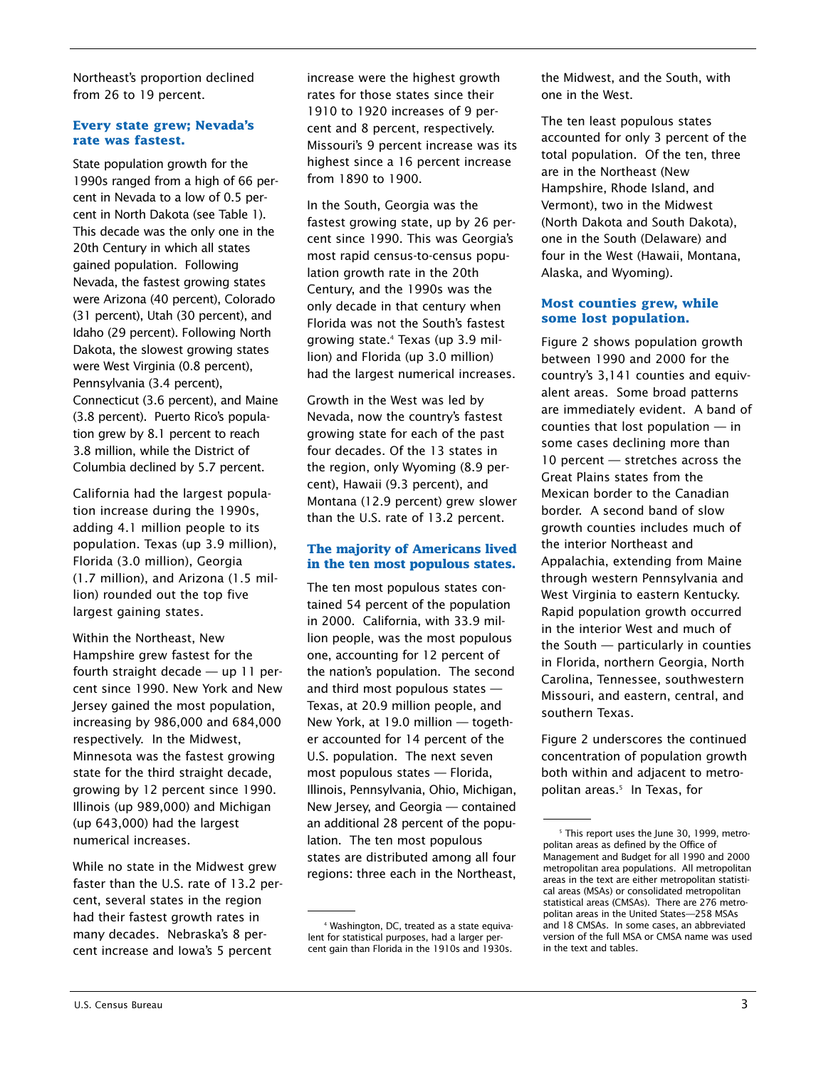Northeast's proportion declined from 26 to 19 percent.

## **Every state grew; Nevada's rate was fastest.**

State population growth for the 1990s ranged from a high of 66 percent in Nevada to a low of 0.5 percent in North Dakota (see Table 1). This decade was the only one in the 20th Century in which all states gained population. Following Nevada, the fastest growing states were Arizona (40 percent), Colorado (31 percent), Utah (30 percent), and Idaho (29 percent). Following North Dakota, the slowest growing states were West Virginia (0.8 percent), Pennsylvania (3.4 percent), Connecticut (3.6 percent), and Maine (3.8 percent). Puerto Rico's population grew by 8.1 percent to reach 3.8 million, while the District of Columbia declined by 5.7 percent.

California had the largest population increase during the 1990s, adding 4.1 million people to its population. Texas (up 3.9 million), Florida (3.0 million), Georgia (1.7 million), and Arizona (1.5 million) rounded out the top five largest gaining states.

Within the Northeast, New Hampshire grew fastest for the fourth straight decade — up 11 percent since 1990. New York and New Jersey gained the most population, increasing by 986,000 and 684,000 respectively. In the Midwest, Minnesota was the fastest growing state for the third straight decade, growing by 12 percent since 1990. Illinois (up 989,000) and Michigan (up 643,000) had the largest numerical increases.

While no state in the Midwest grew faster than the U.S. rate of 13.2 percent, several states in the region had their fastest growth rates in many decades. Nebraska's 8 percent increase and Iowa's 5 percent

increase were the highest growth rates for those states since their 1910 to 1920 increases of 9 percent and 8 percent, respectively. Missouri's 9 percent increase was its highest since a 16 percent increase from 1890 to 1900.

In the South, Georgia was the fastest growing state, up by 26 percent since 1990. This was Georgia's most rapid census-to-census population growth rate in the 20th Century, and the 1990s was the only decade in that century when Florida was not the South's fastest growing state.4 Texas (up 3.9 million) and Florida (up 3.0 million) had the largest numerical increases.

Growth in the West was led by Nevada, now the country's fastest growing state for each of the past four decades. Of the 13 states in the region, only Wyoming (8.9 percent), Hawaii (9.3 percent), and Montana (12.9 percent) grew slower than the U.S. rate of 13.2 percent.

## **The majority of Americans lived in the ten most populous states.**

The ten most populous states contained 54 percent of the population in 2000. California, with 33.9 million people, was the most populous one, accounting for 12 percent of the nation's population. The second and third most populous states — Texas, at 20.9 million people, and New York, at 19.0 million — together accounted for 14 percent of the U.S. population. The next seven most populous states — Florida, Illinois, Pennsylvania, Ohio, Michigan, New Jersey, and Georgia — contained an additional 28 percent of the population. The ten most populous states are distributed among all four regions: three each in the Northeast,

the Midwest, and the South, with one in the West.

The ten least populous states accounted for only 3 percent of the total population. Of the ten, three are in the Northeast (New Hampshire, Rhode Island, and Vermont), two in the Midwest (North Dakota and South Dakota), one in the South (Delaware) and four in the West (Hawaii, Montana, Alaska, and Wyoming).

## **Most counties grew, while some lost population.**

Figure 2 shows population growth between 1990 and 2000 for the country's 3,141 counties and equivalent areas. Some broad patterns are immediately evident. A band of counties that lost population — in some cases declining more than 10 percent – stretches across the Great Plains states from the Mexican border to the Canadian border. A second band of slow growth counties includes much of the interior Northeast and Appalachia, extending from Maine through western Pennsylvania and West Virginia to eastern Kentucky. Rapid population growth occurred in the interior West and much of the South — particularly in counties in Florida, northern Georgia, North Carolina, Tennessee, southwestern Missouri, and eastern, central, and southern Texas.

Figure 2 underscores the continued concentration of population growth both within and adjacent to metropolitan areas.<sup>5</sup> In Texas, for

<sup>4</sup> Washington, DC, treated as a state equivalent for statistical purposes, had a larger percent gain than Florida in the 1910s and 1930s.

<sup>&</sup>lt;sup>5</sup> This report uses the June 30, 1999, metropolitan areas as defined by the Office of Management and Budget for all 1990 and 2000 metropolitan area populations. All metropolitan areas in the text are either metropolitan statistical areas (MSAs) or consolidated metropolitan statistical areas (CMSAs). There are 276 metropolitan areas in the United States—258 MSAs and 18 CMSAs. In some cases, an abbreviated version of the full MSA or CMSA name was used in the text and tables.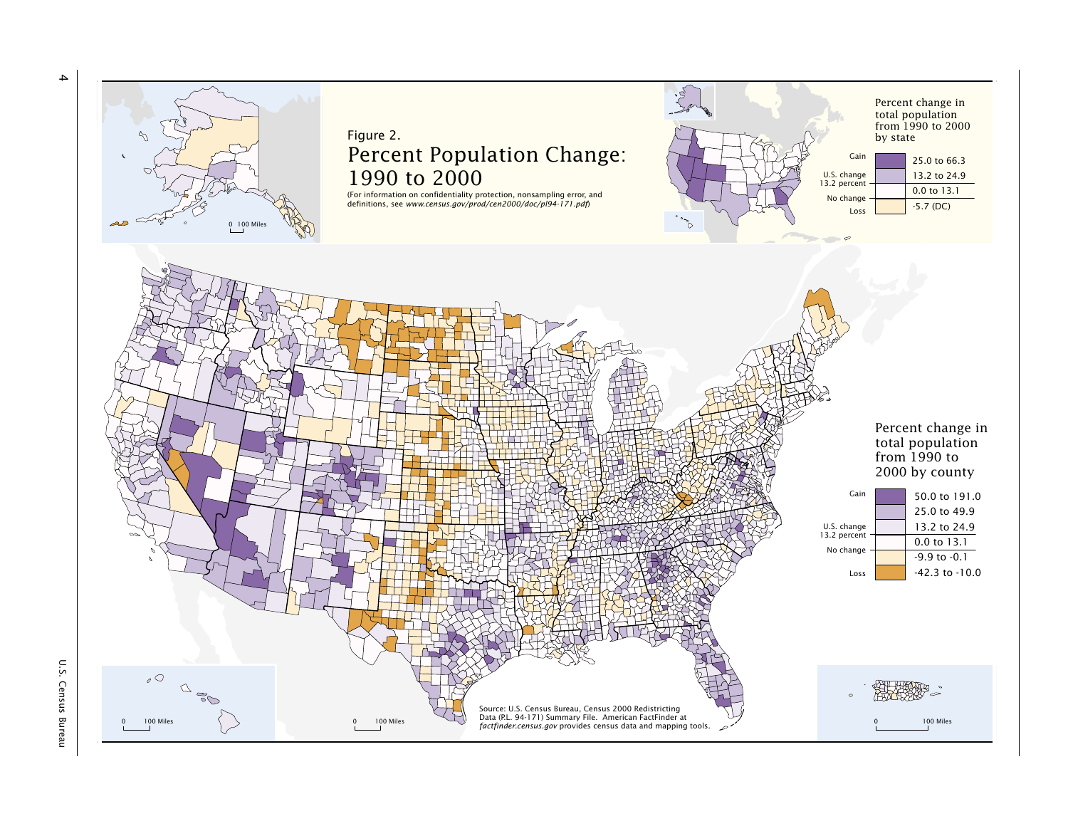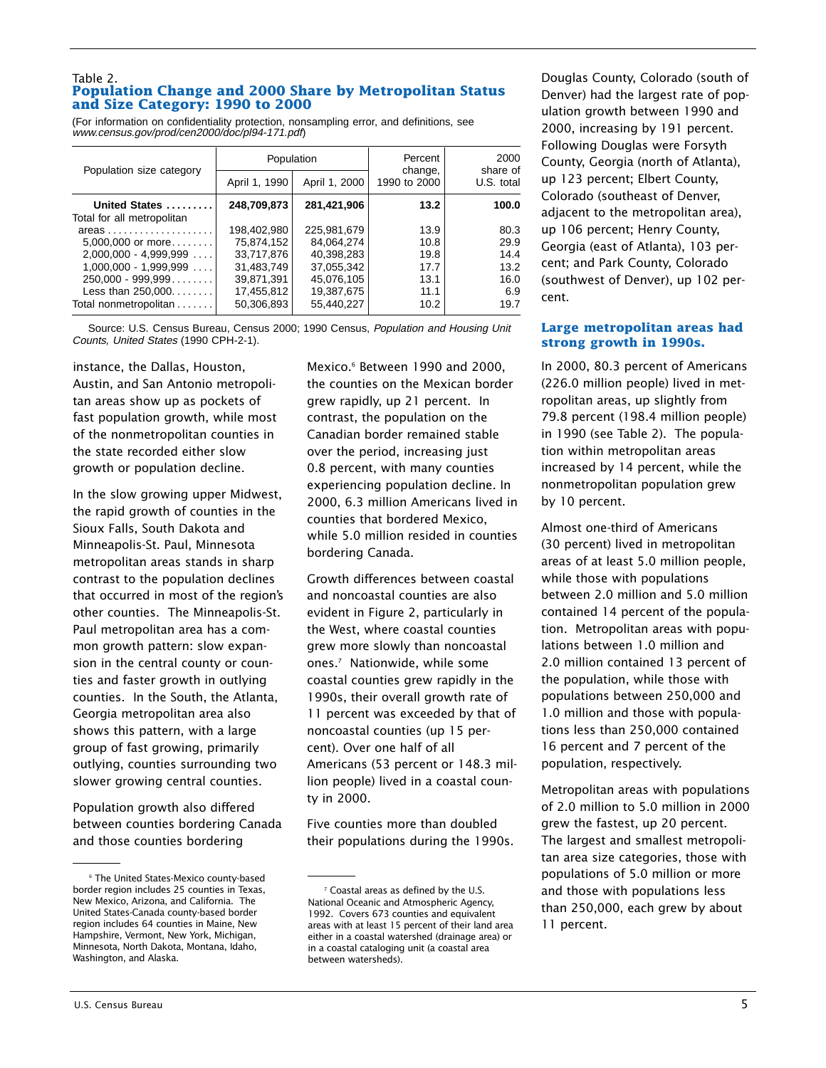#### Table 2. **Population Change and 2000 Share by Metropolitan Status and Size Category: 1990 to 2000**

(For information on confidentiality protection, nonsampling error, and definitions, see www.census.gov/prod/cen2000/doc/pl94-171.pdf)

| Population size category   | Population    |               | Percent<br>change,<br>1990 to 2000 | 2000<br>share of<br>U.S. total |
|----------------------------|---------------|---------------|------------------------------------|--------------------------------|
|                            | April 1, 1990 | April 1, 2000 |                                    |                                |
| United States              | 248,709,873   | 281,421,906   | 13.2                               | 100.0                          |
| Total for all metropolitan |               |               |                                    |                                |
| $areas$                    | 198,402,980   | 225.981.679   | 13.9                               | 80.3                           |
| $5,000,000$ or more        | 75,874,152    | 84,064,274    | 10.8                               | 29.9                           |
| $2.000.000 - 4.999.999$    | 33.717.876    | 40.398.283    | 19.8                               | 14.4                           |
| $1,000,000 - 1,999,999$    | 31,483,749    | 37,055,342    | 17.7                               | 13.2                           |
| $250,000 - 999,999$        | 39.871.391    | 45.076.105    | 13.1                               | 16.0                           |
| Less than $250,000$        | 17,455,812    | 19,387,675    | 11.1                               | 6.9                            |
| Total nonmetropolitan      | 50,306,893    | 55,440,227    | 10.2                               | 19.7                           |

Source: U.S. Census Bureau, Census 2000; 1990 Census, Population and Housing Unit Counts, United States (1990 CPH-2-1).

instance, the Dallas, Houston, Austin, and San Antonio metropolitan areas show up as pockets of fast population growth, while most of the nonmetropolitan counties in the state recorded either slow growth or population decline.

In the slow growing upper Midwest, the rapid growth of counties in the Sioux Falls, South Dakota and Minneapolis-St. Paul, Minnesota metropolitan areas stands in sharp contrast to the population declines that occurred in most of the region's other counties. The Minneapolis-St. Paul metropolitan area has a common growth pattern: slow expansion in the central county or counties and faster growth in outlying counties. In the South, the Atlanta, Georgia metropolitan area also shows this pattern, with a large group of fast growing, primarily outlying, counties surrounding two slower growing central counties.

Population growth also differed between counties bordering Canada and those counties bordering

Mexico.<sup>6</sup> Between 1990 and 2000. the counties on the Mexican border grew rapidly, up 21 percent. In contrast, the population on the Canadian border remained stable over the period, increasing just 0.8 percent, with many counties experiencing population decline. In 2000, 6.3 million Americans lived in counties that bordered Mexico, while 5.0 million resided in counties bordering Canada.

Growth differences between coastal and noncoastal counties are also evident in Figure 2, particularly in the West, where coastal counties grew more slowly than noncoastal ones.7 Nationwide, while some coastal counties grew rapidly in the 1990s, their overall growth rate of 11 percent was exceeded by that of noncoastal counties (up 15 percent). Over one half of all Americans (53 percent or 148.3 million people) lived in a coastal county in 2000.

Five counties more than doubled their populations during the 1990s.

Douglas County, Colorado (south of Denver) had the largest rate of population growth between 1990 and 2000, increasing by 191 percent. Following Douglas were Forsyth County, Georgia (north of Atlanta), up 123 percent; Elbert County, Colorado (southeast of Denver, adjacent to the metropolitan area), up 106 percent; Henry County, Georgia (east of Atlanta), 103 percent; and Park County, Colorado (southwest of Denver), up 102 percent.

## **Large metropolitan areas had strong growth in 1990s.**

In 2000, 80.3 percent of Americans (226.0 million people) lived in metropolitan areas, up slightly from 79.8 percent (198.4 million people) in 1990 (see Table 2). The population within metropolitan areas increased by 14 percent, while the nonmetropolitan population grew by 10 percent.

Almost one-third of Americans (30 percent) lived in metropolitan areas of at least 5.0 million people, while those with populations between 2.0 million and 5.0 million contained 14 percent of the population. Metropolitan areas with populations between 1.0 million and 2.0 million contained 13 percent of the population, while those with populations between 250,000 and 1.0 million and those with populations less than 250,000 contained 16 percent and 7 percent of the population, respectively.

Metropolitan areas with populations of 2.0 million to 5.0 million in 2000 grew the fastest, up 20 percent. The largest and smallest metropolitan area size categories, those with populations of 5.0 million or more and those with populations less than 250,000, each grew by about 11 percent.

<sup>6</sup> The United States-Mexico county-based border region includes 25 counties in Texas, New Mexico, Arizona, and California. The United States-Canada county-based border region includes 64 counties in Maine, New Hampshire, Vermont, New York, Michigan, Minnesota, North Dakota, Montana, Idaho, Washington, and Alaska.

<sup>7</sup> Coastal areas as defined by the U.S. National Oceanic and Atmospheric Agency, 1992. Covers 673 counties and equivalent areas with at least 15 percent of their land area either in a coastal watershed (drainage area) or in a coastal cataloging unit (a coastal area between watersheds).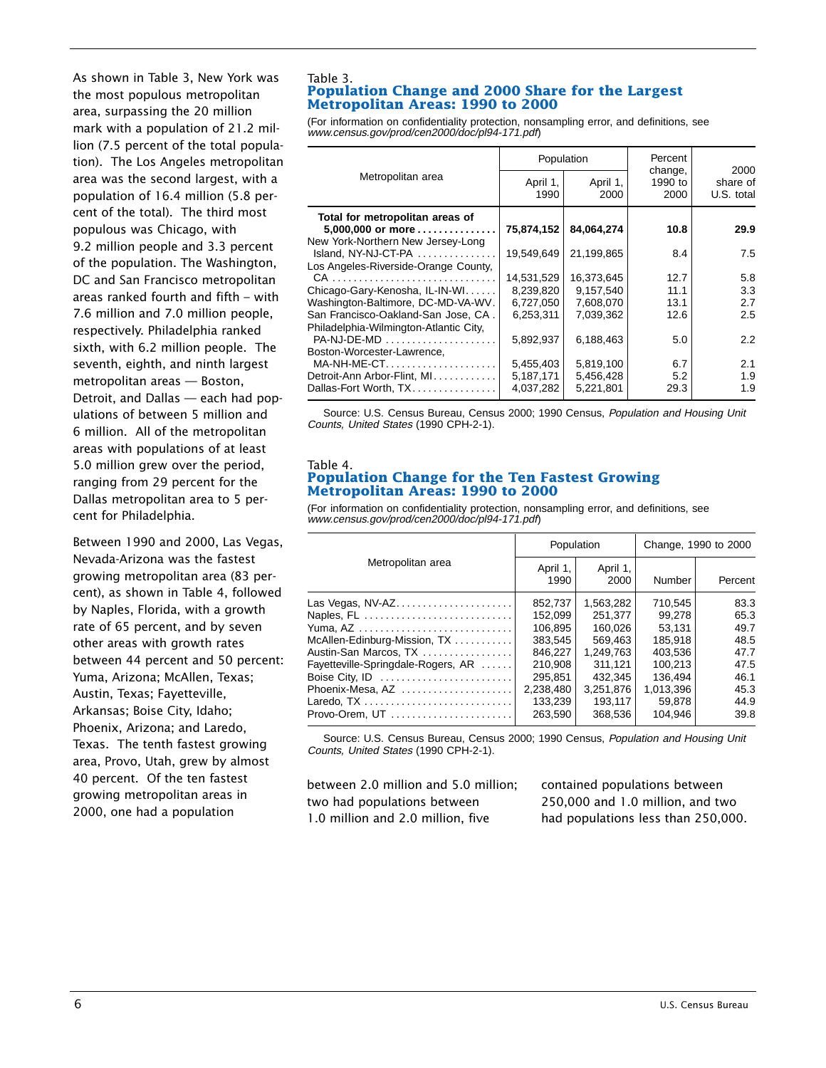As shown in Table 3, New York was the most populous metropolitan area, surpassing the 20 million mark with a population of 21.2 million (7.5 percent of the total population). The Los Angeles metropolitan area was the second largest, with a population of 16.4 million (5.8 percent of the total). The third most populous was Chicago, with 9.2 million people and 3.3 percent of the population. The Washington, DC and San Francisco metropolitan areas ranked fourth and fifth – with 7.6 million and 7.0 million people, respectively. Philadelphia ranked sixth, with 6.2 million people. The seventh, eighth, and ninth largest metropolitan areas — Boston, Detroit, and Dallas — each had populations of between 5 million and 6 million. All of the metropolitan areas with populations of at least 5.0 million grew over the period, ranging from 29 percent for the Dallas metropolitan area to 5 percent for Philadelphia.

Between 1990 and 2000, Las Vegas, Nevada-Arizona was the fastest growing metropolitan area (83 percent), as shown in Table 4, followed by Naples, Florida, with a growth rate of 65 percent, and by seven other areas with growth rates between 44 percent and 50 percent: Yuma, Arizona; McAllen, Texas; Austin, Texas; Fayetteville, Arkansas; Boise City, Idaho; Phoenix, Arizona; and Laredo, Texas. The tenth fastest growing area, Provo, Utah, grew by almost 40 percent. Of the ten fastest growing metropolitan areas in 2000, one had a population

#### Table 3. **Population Change and 2000 Share for the Largest Metropolitan Areas: 1990 to 2000**

(For information on confidentiality protection, nonsampling error, and definitions, see www.census.gov/prod/cen2000/doc/pl94-171.pdf)

|                                                                                           | Population       |                  | Percent<br>change, | 2000                   |
|-------------------------------------------------------------------------------------------|------------------|------------------|--------------------|------------------------|
| Metropolitan area                                                                         | April 1,<br>1990 | April 1,<br>2000 | 1990 to<br>2000    | share of<br>U.S. total |
| Total for metropolitan areas of<br>5,000,000 or more<br>New York-Northern New Jersey-Long | 75,874,152       | 84,064,274       | 10.8               | 29.9                   |
| Island, NY-NJ-CT-PA                                                                       | 19.549.649       | 21.199.865       | 8.4                | 7.5                    |
| Los Angeles-Riverside-Orange County,                                                      |                  |                  |                    |                        |
|                                                                                           | 14,531,529       | 16,373,645       | 12.7               | 5.8                    |
| Chicago-Gary-Kenosha, IL-IN-WI                                                            | 8.239.820        | 9.157.540        | 11.1               | 3.3                    |
| Washington-Baltimore, DC-MD-VA-WV.                                                        | 6,727,050        | 7,608,070        | 13.1               | 2.7                    |
| San Francisco-Oakland-San Jose, CA.                                                       | 6.253.311        | 7.039.362        | 12.6               | 2.5                    |
| Philadelphia-Wilmington-Atlantic City,                                                    |                  |                  |                    |                        |
| $PA-NJ-DE-MD$                                                                             | 5,892,937        | 6,188,463        | 5.0                | $2.2^{\circ}$          |
| Boston-Worcester-Lawrence.                                                                |                  |                  |                    |                        |
|                                                                                           | 5,455,403        | 5,819,100        | 6.7                | 2.1                    |
| Detroit-Ann Arbor-Flint, MI                                                               | 5,187,171        | 5,456,428        | 5.2                | 1.9                    |
| Dallas-Fort Worth, TX                                                                     | 4,037,282        | 5,221,801        | 29.3               | 1.9                    |

Source: U.S. Census Bureau, Census 2000; 1990 Census, Population and Housing Unit Counts, United States (1990 CPH-2-1).

#### Table 4. **Population Change for the Ten Fastest Growing Metropolitan Areas: 1990 to 2000**

(For information on confidentiality protection, nonsampling error, and definitions, see www.census.gov/prod/cen2000/doc/pl94-171.pdf)

|                                    | Population       |                  | Change, 1990 to 2000 |         |
|------------------------------------|------------------|------------------|----------------------|---------|
| Metropolitan area                  | April 1,<br>1990 | April 1,<br>2000 | Number               | Percent |
| Las Vegas, NV-AZ                   | 852.737          | 1.563.282        | 710.545              | 83.3    |
| Naples, FL                         | 152.099          | 251.377          | 99.278               | 65.3    |
| Yuma, AZ                           | 106.895          | 160.026          | 53.131               | 49.7    |
| McAllen-Edinburg-Mission, TX       | 383.545          | 569.463          | 185.918              | 48.5    |
| Austin-San Marcos, TX              | 846.227          | 1.249.763        | 403.536              | 47.7    |
| Fayetteville-Springdale-Rogers, AR | 210.908          | 311.121          | 100.213              | 47.5    |
|                                    | 295,851          | 432.345          | 136.494              | 46.1    |
| Phoenix-Mesa, AZ                   | 2.238.480        | 3.251.876        | 1.013.396            | 45.3    |
|                                    | 133.239          | 193.117          | 59.878               | 44.9    |
| Provo-Orem, UT                     | 263.590          | 368.536          | 104.946              | 39.8    |

Source: U.S. Census Bureau, Census 2000; 1990 Census, Population and Housing Unit Counts, United States (1990 CPH-2-1).

between 2.0 million and 5.0 million; two had populations between 1.0 million and 2.0 million, five

contained populations between 250,000 and 1.0 million, and two had populations less than 250,000.